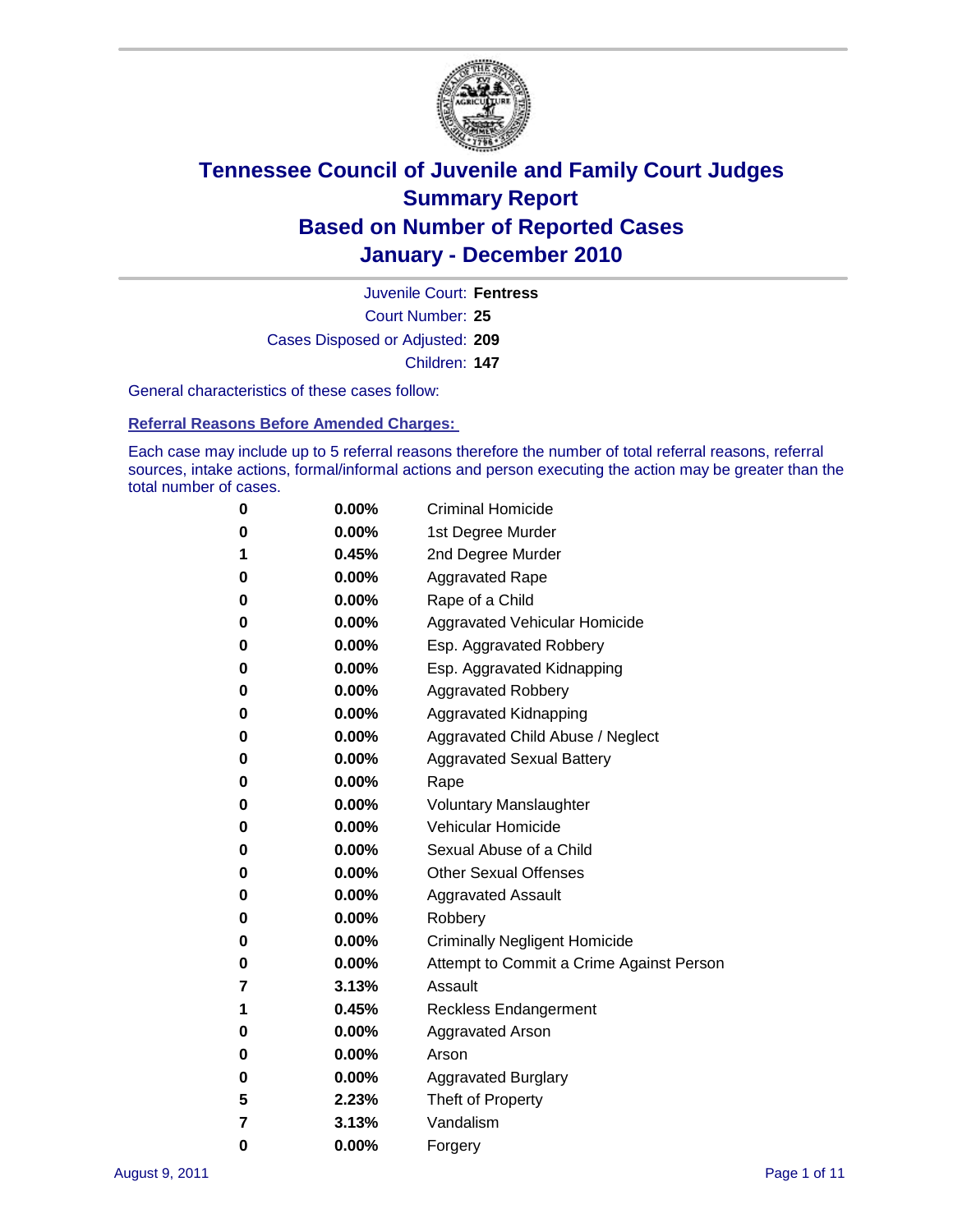

Court Number: **25** Juvenile Court: **Fentress** Cases Disposed or Adjusted: **209** Children: **147**

General characteristics of these cases follow:

**Referral Reasons Before Amended Charges:** 

Each case may include up to 5 referral reasons therefore the number of total referral reasons, referral sources, intake actions, formal/informal actions and person executing the action may be greater than the total number of cases.

| 0 | $0.00\%$ | <b>Criminal Homicide</b>                 |
|---|----------|------------------------------------------|
| 0 | $0.00\%$ | 1st Degree Murder                        |
| 1 | 0.45%    | 2nd Degree Murder                        |
| 0 | $0.00\%$ | <b>Aggravated Rape</b>                   |
| 0 | $0.00\%$ | Rape of a Child                          |
| 0 | $0.00\%$ | <b>Aggravated Vehicular Homicide</b>     |
| 0 | $0.00\%$ | Esp. Aggravated Robbery                  |
| 0 | $0.00\%$ | Esp. Aggravated Kidnapping               |
| 0 | $0.00\%$ | <b>Aggravated Robbery</b>                |
| 0 | $0.00\%$ | Aggravated Kidnapping                    |
| 0 | $0.00\%$ | Aggravated Child Abuse / Neglect         |
| 0 | 0.00%    | <b>Aggravated Sexual Battery</b>         |
| 0 | $0.00\%$ | Rape                                     |
| 0 | $0.00\%$ | <b>Voluntary Manslaughter</b>            |
| 0 | $0.00\%$ | Vehicular Homicide                       |
| 0 | $0.00\%$ | Sexual Abuse of a Child                  |
| 0 | $0.00\%$ | <b>Other Sexual Offenses</b>             |
| 0 | $0.00\%$ | <b>Aggravated Assault</b>                |
| 0 | 0.00%    | Robbery                                  |
| 0 | $0.00\%$ | <b>Criminally Negligent Homicide</b>     |
| 0 | $0.00\%$ | Attempt to Commit a Crime Against Person |
| 7 | 3.13%    | Assault                                  |
| 1 | 0.45%    | <b>Reckless Endangerment</b>             |
| 0 | $0.00\%$ | <b>Aggravated Arson</b>                  |
| 0 | $0.00\%$ | Arson                                    |
| 0 | $0.00\%$ | <b>Aggravated Burglary</b>               |
| 5 | 2.23%    | Theft of Property                        |
| 7 | 3.13%    | Vandalism                                |
| 0 | $0.00\%$ | Forgery                                  |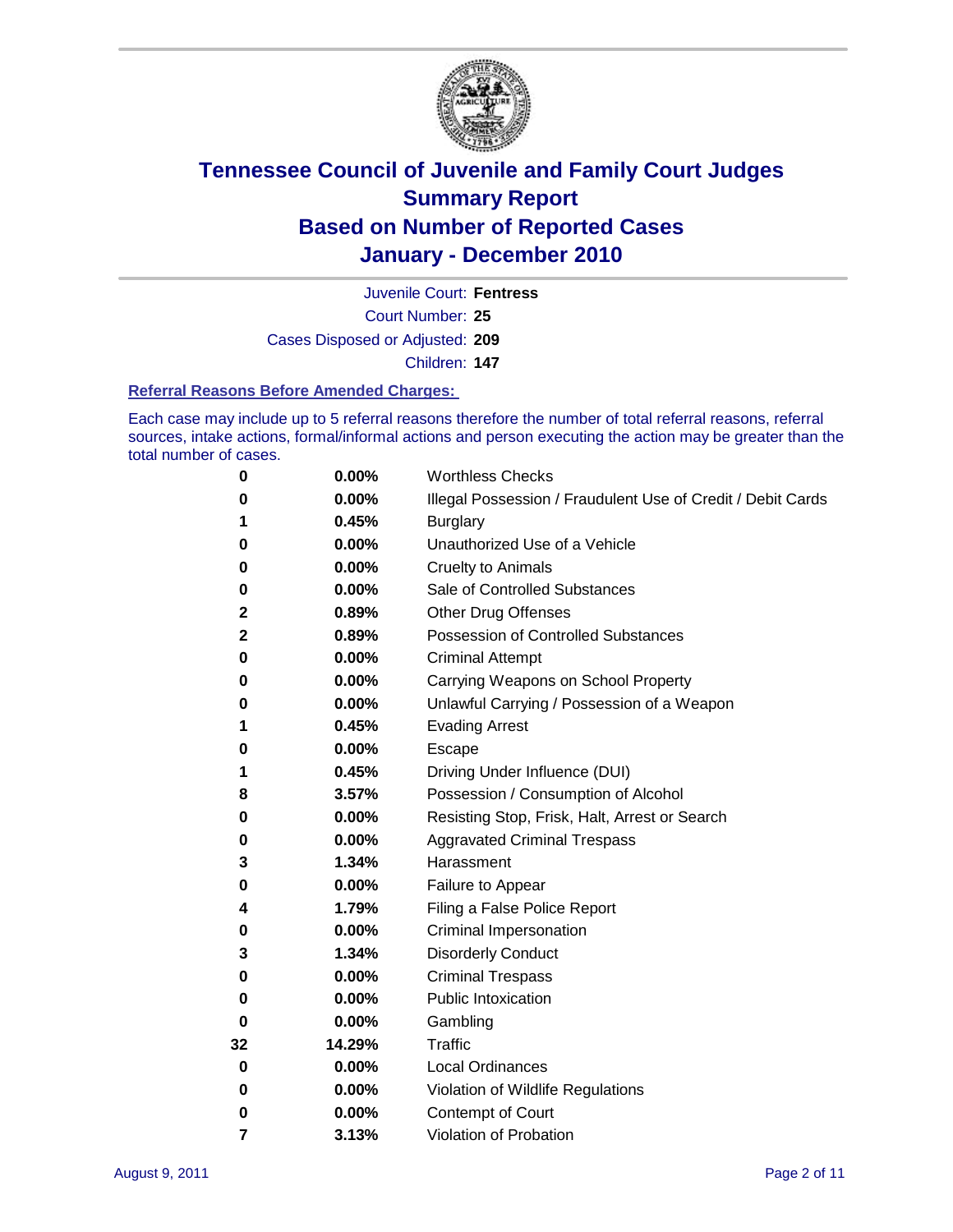

Court Number: **25** Juvenile Court: **Fentress** Cases Disposed or Adjusted: **209**

Children: **147**

#### **Referral Reasons Before Amended Charges:**

Each case may include up to 5 referral reasons therefore the number of total referral reasons, referral sources, intake actions, formal/informal actions and person executing the action may be greater than the total number of cases.

| 0           | 0.00%  | <b>Worthless Checks</b>                                     |
|-------------|--------|-------------------------------------------------------------|
| 0           | 0.00%  | Illegal Possession / Fraudulent Use of Credit / Debit Cards |
| 1           | 0.45%  | <b>Burglary</b>                                             |
| 0           | 0.00%  | Unauthorized Use of a Vehicle                               |
| 0           | 0.00%  | <b>Cruelty to Animals</b>                                   |
| 0           | 0.00%  | Sale of Controlled Substances                               |
| 2           | 0.89%  | <b>Other Drug Offenses</b>                                  |
| 2           | 0.89%  | <b>Possession of Controlled Substances</b>                  |
| 0           | 0.00%  | <b>Criminal Attempt</b>                                     |
| 0           | 0.00%  | Carrying Weapons on School Property                         |
| 0           | 0.00%  | Unlawful Carrying / Possession of a Weapon                  |
| 1           | 0.45%  | <b>Evading Arrest</b>                                       |
| 0           | 0.00%  | Escape                                                      |
| 1           | 0.45%  | Driving Under Influence (DUI)                               |
| 8           | 3.57%  | Possession / Consumption of Alcohol                         |
| 0           | 0.00%  | Resisting Stop, Frisk, Halt, Arrest or Search               |
| 0           | 0.00%  | <b>Aggravated Criminal Trespass</b>                         |
| 3           | 1.34%  | Harassment                                                  |
| 0           | 0.00%  | Failure to Appear                                           |
| 4           | 1.79%  | Filing a False Police Report                                |
| 0           | 0.00%  | Criminal Impersonation                                      |
| 3           | 1.34%  | <b>Disorderly Conduct</b>                                   |
| 0           | 0.00%  | <b>Criminal Trespass</b>                                    |
| 0           | 0.00%  | <b>Public Intoxication</b>                                  |
| 0           | 0.00%  | Gambling                                                    |
| 32          | 14.29% | <b>Traffic</b>                                              |
| 0           | 0.00%  | <b>Local Ordinances</b>                                     |
| $\mathbf 0$ | 0.00%  | Violation of Wildlife Regulations                           |
| 0           | 0.00%  | Contempt of Court                                           |
| 7           | 3.13%  | Violation of Probation                                      |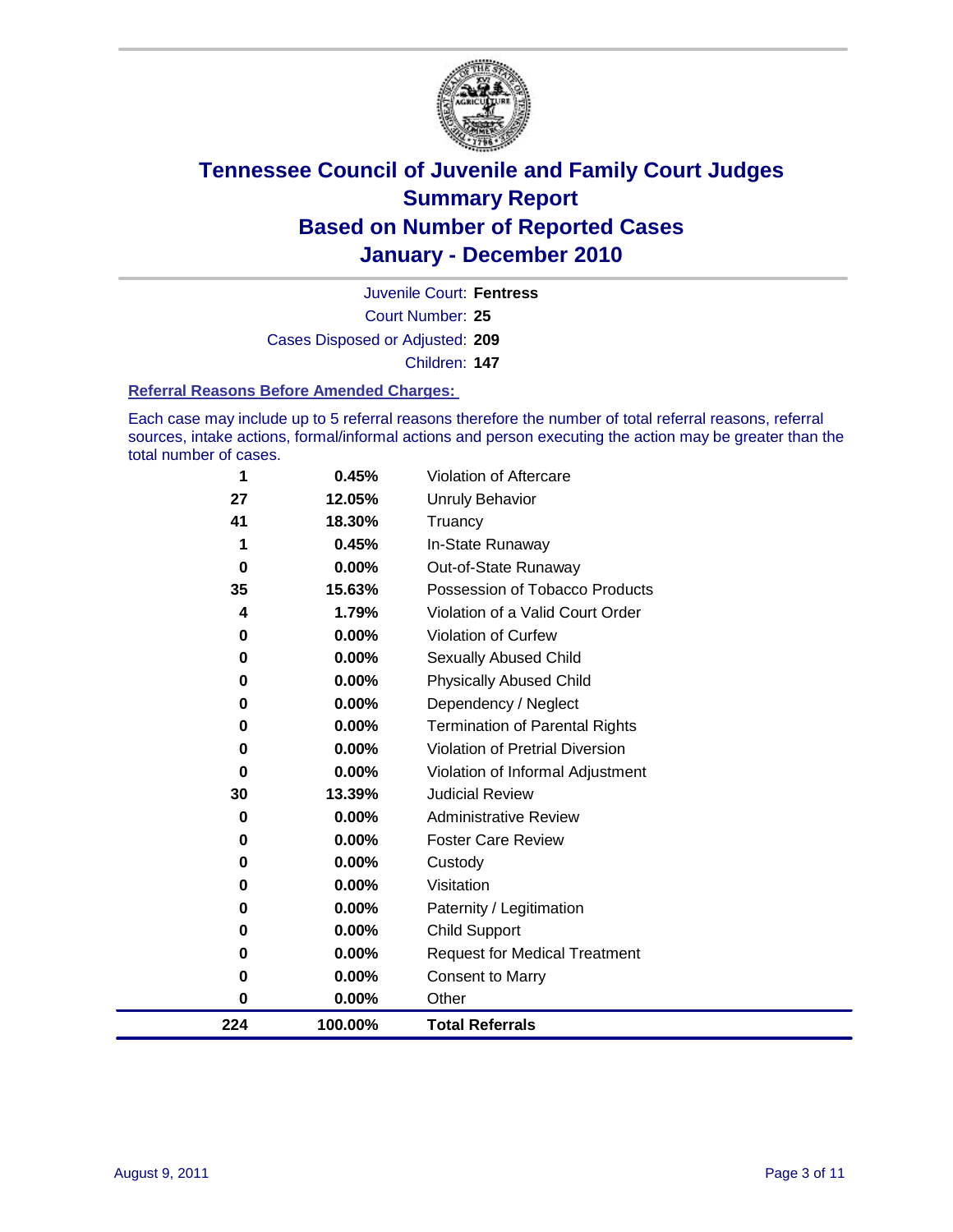

Court Number: **25** Juvenile Court: **Fentress** Cases Disposed or Adjusted: **209** Children: **147**

#### **Referral Reasons Before Amended Charges:**

Each case may include up to 5 referral reasons therefore the number of total referral reasons, referral sources, intake actions, formal/informal actions and person executing the action may be greater than the total number of cases.

| 224      | 100.00%         | <b>Total Referrals</b>                 |
|----------|-----------------|----------------------------------------|
| $\bf{0}$ | 0.00%           | Other                                  |
| 0        | 0.00%           | <b>Consent to Marry</b>                |
| 0        | 0.00%           | <b>Request for Medical Treatment</b>   |
| 0        | 0.00%           | <b>Child Support</b>                   |
| 0        | 0.00%           | Paternity / Legitimation               |
| 0        | 0.00%           | Visitation                             |
| 0        | 0.00%           | Custody                                |
| 0        | 0.00%           | <b>Foster Care Review</b>              |
| 0        | 0.00%           | <b>Administrative Review</b>           |
| 30       | 13.39%          | <b>Judicial Review</b>                 |
| 0        | 0.00%           | Violation of Informal Adjustment       |
| $\bf{0}$ | 0.00%           | <b>Violation of Pretrial Diversion</b> |
| 0        | 0.00%           | Termination of Parental Rights         |
| 0        | 0.00%           | Dependency / Neglect                   |
| $\bf{0}$ | 0.00%           | <b>Physically Abused Child</b>         |
| $\bf{0}$ | 0.00%           | <b>Sexually Abused Child</b>           |
| 0        | 0.00%           | Violation of Curfew                    |
| 4        | 1.79%           | Violation of a Valid Court Order       |
| 35       | 15.63%          | Possession of Tobacco Products         |
| $\bf{0}$ | 0.00%           | Out-of-State Runaway                   |
| 41       | 18.30%<br>0.45% | Truancy<br>In-State Runaway            |
| 27       | 12.05%          | <b>Unruly Behavior</b>                 |
|          | 0.45%           | Violation of Aftercare                 |
| 1        |                 |                                        |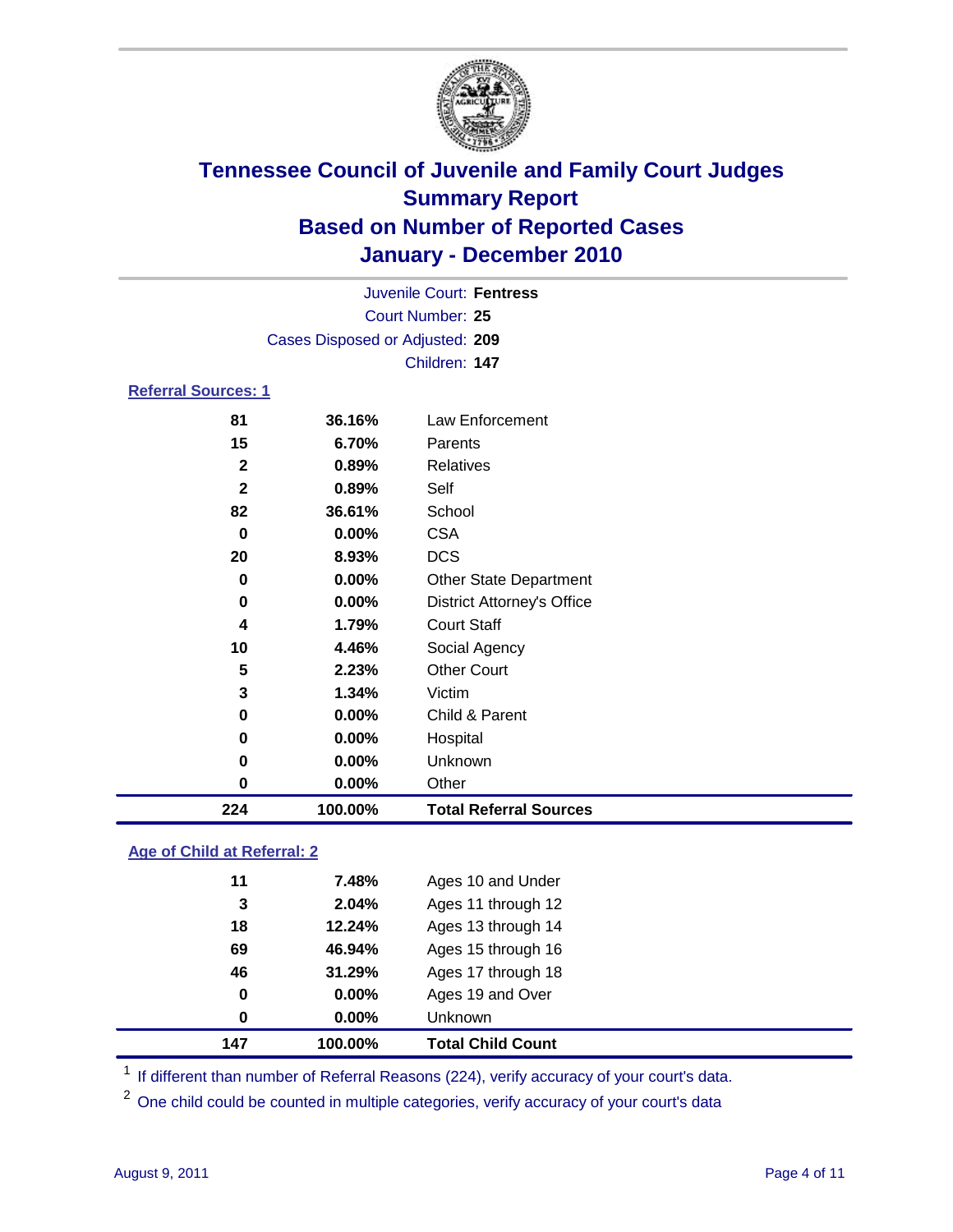

|                            |                                 | <b>Juvenile Court: Fentress</b>   |  |  |  |
|----------------------------|---------------------------------|-----------------------------------|--|--|--|
|                            | Court Number: 25                |                                   |  |  |  |
|                            | Cases Disposed or Adjusted: 209 |                                   |  |  |  |
|                            | Children: 147                   |                                   |  |  |  |
| <b>Referral Sources: 1</b> |                                 |                                   |  |  |  |
| 81                         | 36.16%                          | Law Enforcement                   |  |  |  |
| 15                         | 6.70%                           | Parents                           |  |  |  |
| $\mathbf{2}$               | 0.89%                           | <b>Relatives</b>                  |  |  |  |
| $\mathbf{2}$               | 0.89%                           | Self                              |  |  |  |
| 82                         | 36.61%                          | School                            |  |  |  |
| $\bf{0}$                   | $0.00\%$                        | <b>CSA</b>                        |  |  |  |
| 20                         | 8.93%                           | <b>DCS</b>                        |  |  |  |
| $\mathbf 0$                | $0.00\%$                        | <b>Other State Department</b>     |  |  |  |
| 0                          | $0.00\%$                        | <b>District Attorney's Office</b> |  |  |  |
| 4                          | 1.79%                           | <b>Court Staff</b>                |  |  |  |
| 10                         | 4.46%                           | Social Agency                     |  |  |  |
| 5                          | 2.23%                           | <b>Other Court</b>                |  |  |  |
| 3                          | 1.34%                           | Victim                            |  |  |  |
| 0                          | $0.00\%$                        | Child & Parent                    |  |  |  |
| 0                          | $0.00\%$                        | Hospital                          |  |  |  |
| 0                          | $0.00\%$                        | Unknown                           |  |  |  |
| 0                          | 0.00%                           | Other                             |  |  |  |

### **Age of Child at Referral: 2**

| 147 | 100.00%  | <b>Total Child Count</b> |
|-----|----------|--------------------------|
| 0   | 0.00%    | <b>Unknown</b>           |
| 0   | $0.00\%$ | Ages 19 and Over         |
| 46  | 31.29%   | Ages 17 through 18       |
| 69  | 46.94%   | Ages 15 through 16       |
| 18  | 12.24%   | Ages 13 through 14       |
| 3   | 2.04%    | Ages 11 through 12       |
| 11  | 7.48%    | Ages 10 and Under        |
|     |          |                          |

<sup>1</sup> If different than number of Referral Reasons (224), verify accuracy of your court's data.

**100.00% Total Referral Sources**

<sup>2</sup> One child could be counted in multiple categories, verify accuracy of your court's data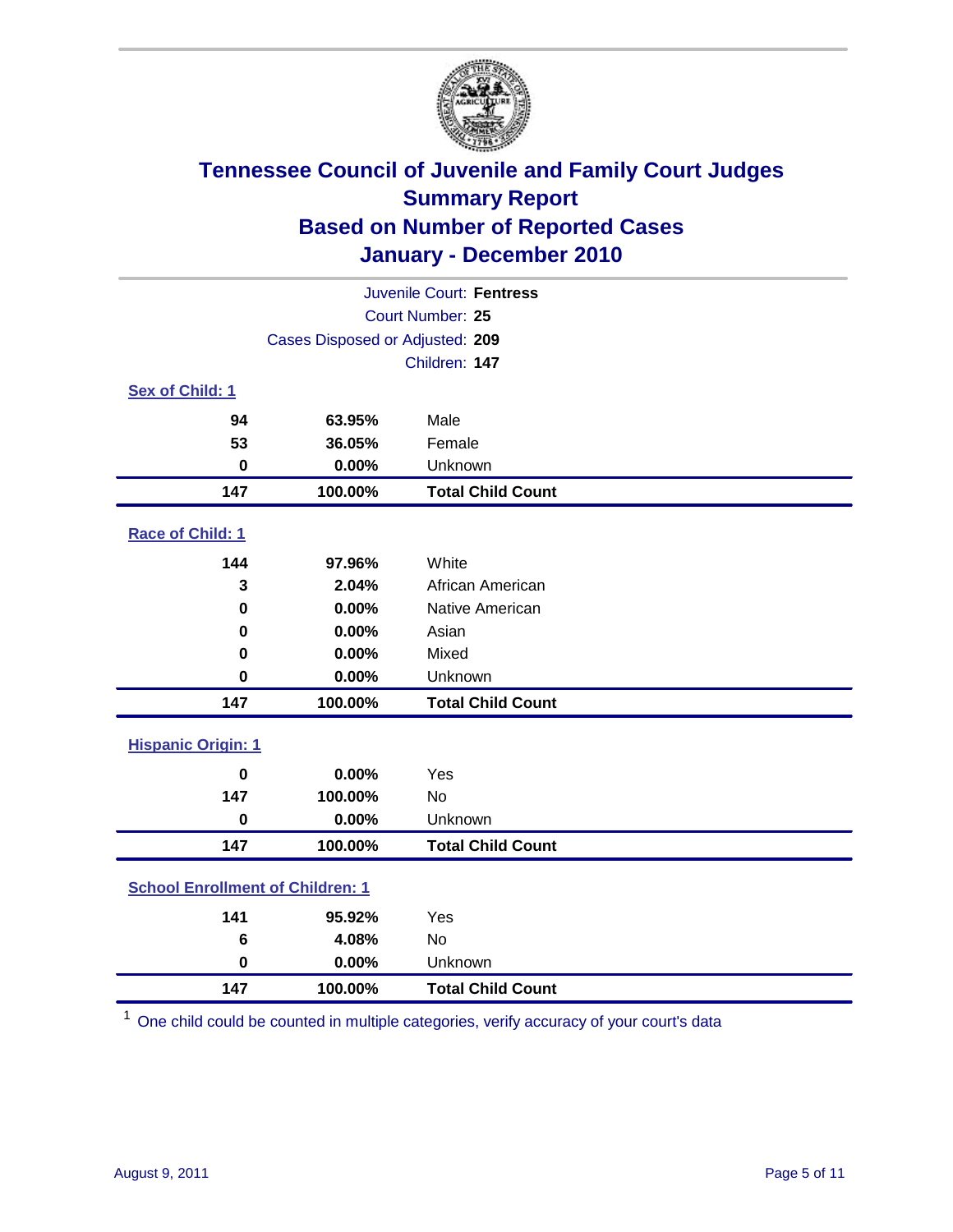

| Juvenile Court: Fentress                |                                 |                          |  |  |
|-----------------------------------------|---------------------------------|--------------------------|--|--|
| Court Number: 25                        |                                 |                          |  |  |
|                                         | Cases Disposed or Adjusted: 209 |                          |  |  |
|                                         |                                 | Children: 147            |  |  |
| Sex of Child: 1                         |                                 |                          |  |  |
| 94                                      | 63.95%                          | Male                     |  |  |
| 53                                      | 36.05%                          | Female                   |  |  |
| $\mathbf 0$                             | 0.00%                           | Unknown                  |  |  |
| 147                                     | 100.00%                         | <b>Total Child Count</b> |  |  |
| Race of Child: 1                        |                                 |                          |  |  |
| 144                                     | 97.96%                          | White                    |  |  |
| 3                                       | 2.04%                           | African American         |  |  |
| 0                                       | 0.00%                           | Native American          |  |  |
| 0                                       | 0.00%                           | Asian                    |  |  |
| 0                                       | 0.00%                           | Mixed                    |  |  |
| $\mathbf 0$                             | 0.00%                           | Unknown                  |  |  |
| 147                                     | 100.00%                         | <b>Total Child Count</b> |  |  |
| <b>Hispanic Origin: 1</b>               |                                 |                          |  |  |
| $\bf{0}$                                | 0.00%                           | Yes                      |  |  |
| 147                                     | 100.00%                         | No                       |  |  |
| $\mathbf 0$                             | 0.00%                           | Unknown                  |  |  |
| 147                                     | 100.00%                         | <b>Total Child Count</b> |  |  |
| <b>School Enrollment of Children: 1</b> |                                 |                          |  |  |
| 141                                     | 95.92%                          | Yes                      |  |  |
| 6                                       | 4.08%                           | No                       |  |  |
| $\mathbf 0$                             | 0.00%                           | Unknown                  |  |  |
| 147                                     | 100.00%                         | <b>Total Child Count</b> |  |  |

One child could be counted in multiple categories, verify accuracy of your court's data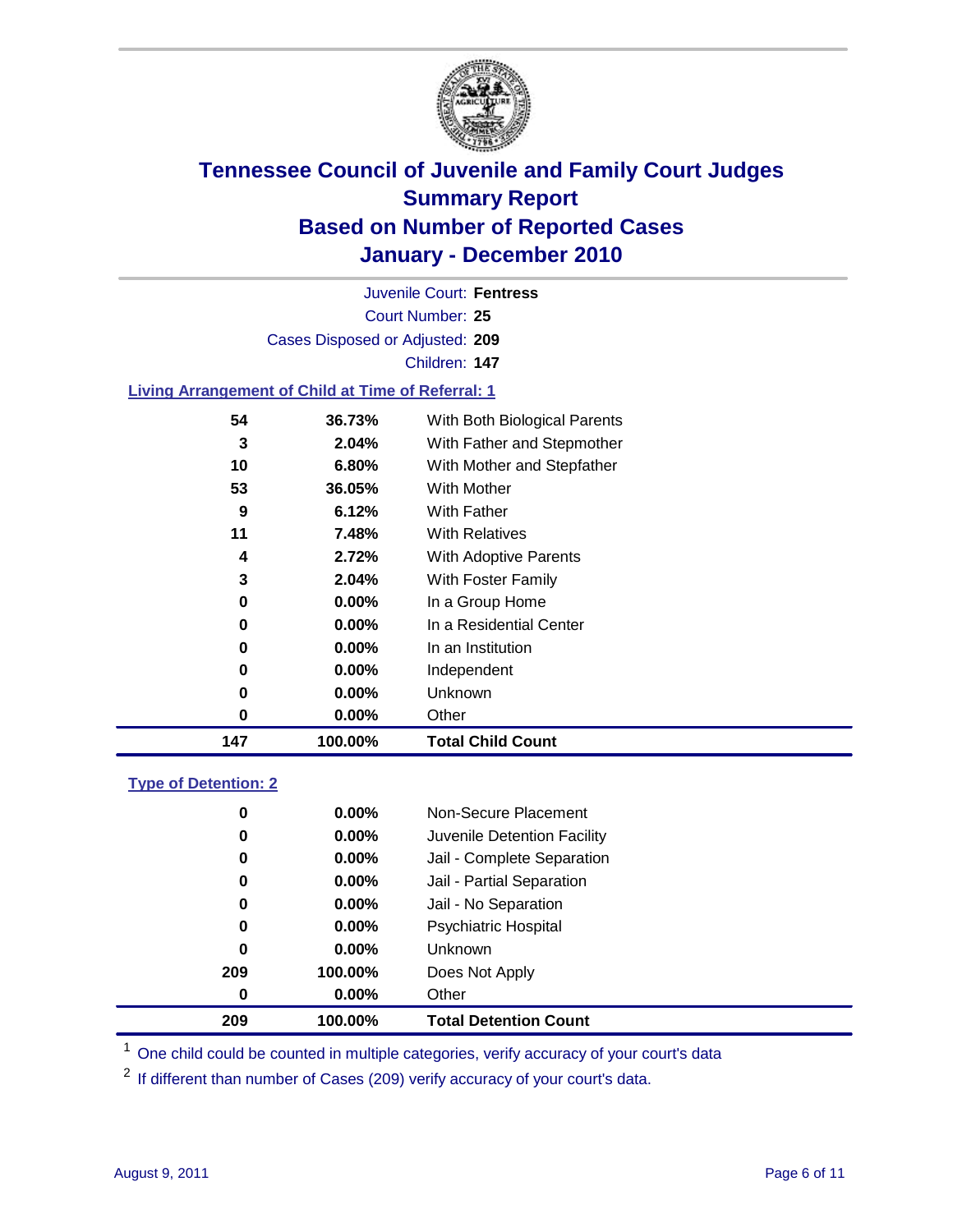

Court Number: **25** Juvenile Court: **Fentress** Cases Disposed or Adjusted: **209** Children: **147**

#### **Living Arrangement of Child at Time of Referral: 1**

| 147 | 100.00%  | <b>Total Child Count</b>     |
|-----|----------|------------------------------|
| 0   | 0.00%    | Other                        |
| 0   | 0.00%    | Unknown                      |
| 0   | $0.00\%$ | Independent                  |
| 0   | 0.00%    | In an Institution            |
| 0   | $0.00\%$ | In a Residential Center      |
| 0   | 0.00%    | In a Group Home              |
| 3   | 2.04%    | With Foster Family           |
| 4   | 2.72%    | <b>With Adoptive Parents</b> |
| 11  | 7.48%    | <b>With Relatives</b>        |
| 9   | 6.12%    | With Father                  |
| 53  | 36.05%   | With Mother                  |
| 10  | 6.80%    | With Mother and Stepfather   |
| 3   | 2.04%    | With Father and Stepmother   |
| 54  | 36.73%   | With Both Biological Parents |

#### **Type of Detention: 2**

| 209 | 100.00%  | <b>Total Detention Count</b> |  |
|-----|----------|------------------------------|--|
| 0   | 0.00%    | Other                        |  |
| 209 | 100.00%  | Does Not Apply               |  |
| 0   | $0.00\%$ | <b>Unknown</b>               |  |
| 0   | $0.00\%$ | <b>Psychiatric Hospital</b>  |  |
| 0   | 0.00%    | Jail - No Separation         |  |
| 0   | $0.00\%$ | Jail - Partial Separation    |  |
| 0   | $0.00\%$ | Jail - Complete Separation   |  |
| 0   | 0.00%    | Juvenile Detention Facility  |  |
| 0   | $0.00\%$ | Non-Secure Placement         |  |
|     |          |                              |  |

<sup>1</sup> One child could be counted in multiple categories, verify accuracy of your court's data

<sup>2</sup> If different than number of Cases (209) verify accuracy of your court's data.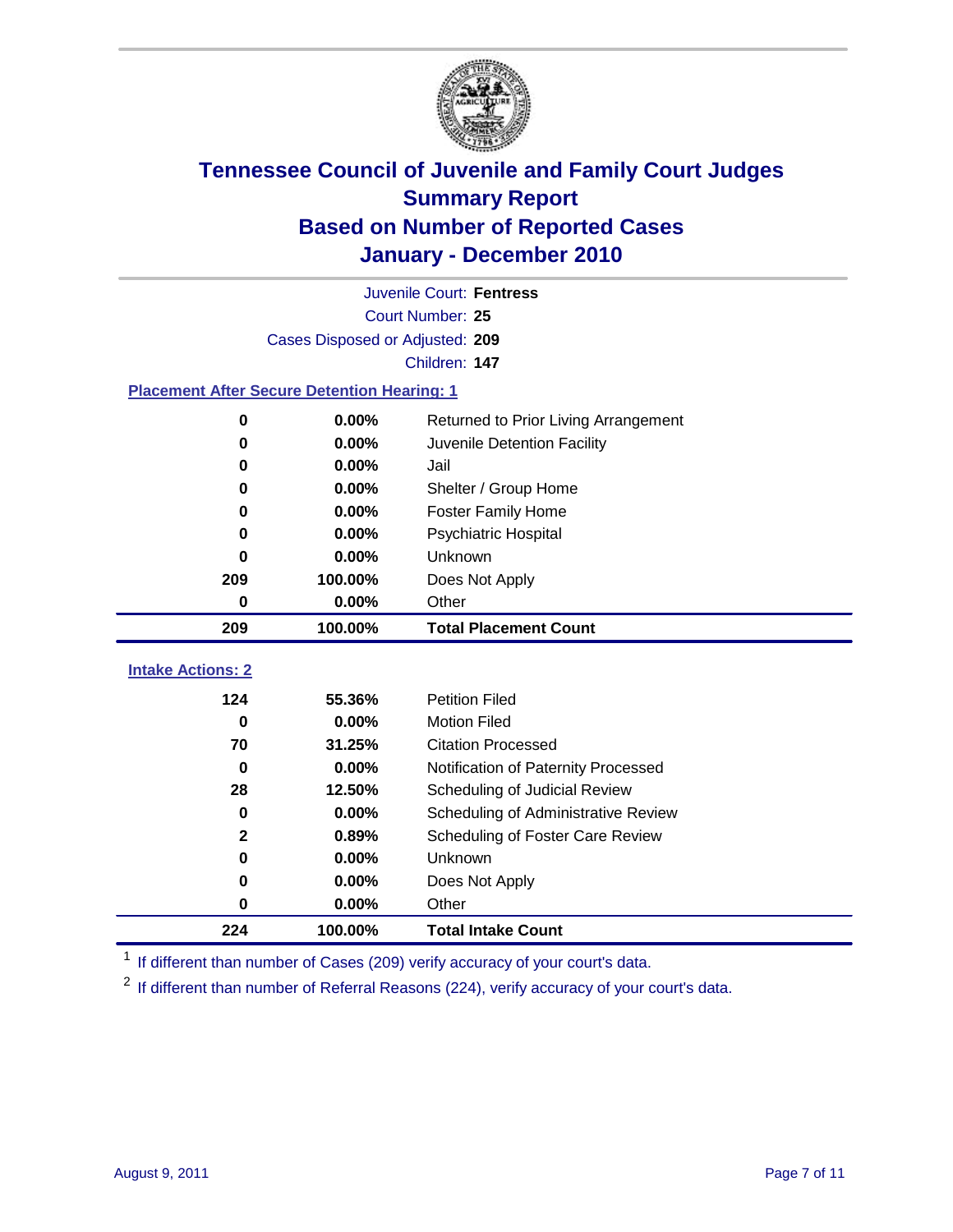

|                                                    | Juvenile Court: Fentress        |                                      |  |  |  |
|----------------------------------------------------|---------------------------------|--------------------------------------|--|--|--|
|                                                    | Court Number: 25                |                                      |  |  |  |
|                                                    | Cases Disposed or Adjusted: 209 |                                      |  |  |  |
|                                                    | Children: 147                   |                                      |  |  |  |
| <b>Placement After Secure Detention Hearing: 1</b> |                                 |                                      |  |  |  |
| 0                                                  | 0.00%                           | Returned to Prior Living Arrangement |  |  |  |
| 0                                                  | 0.00%                           | Juvenile Detention Facility          |  |  |  |
| 0                                                  | 0.00%                           | Jail                                 |  |  |  |
| 0                                                  | 0.00%                           | Shelter / Group Home                 |  |  |  |
| 0                                                  | 0.00%                           | <b>Foster Family Home</b>            |  |  |  |
| 0                                                  | 0.00%                           | Psychiatric Hospital                 |  |  |  |
| 0                                                  | 0.00%                           | Unknown                              |  |  |  |
| 209                                                | 100.00%                         | Does Not Apply                       |  |  |  |
| 0                                                  | 0.00%                           | Other                                |  |  |  |
| 209                                                | 100.00%                         | <b>Total Placement Count</b>         |  |  |  |
| <b>Intake Actions: 2</b>                           |                                 |                                      |  |  |  |
| 124                                                | 55.36%                          | <b>Petition Filed</b>                |  |  |  |
| 0                                                  | 0.00%                           | <b>Motion Filed</b>                  |  |  |  |
| 70                                                 | 31.25%                          | <b>Citation Processed</b>            |  |  |  |
| 0                                                  | 0.00%                           | Notification of Paternity Processed  |  |  |  |
| 28                                                 | 12.50%                          | Scheduling of Judicial Review        |  |  |  |
| 0                                                  | 0.00%                           | Scheduling of Administrative Review  |  |  |  |
| 2                                                  | 0.89%                           | Scheduling of Foster Care Review     |  |  |  |
| 0                                                  | 0.00%                           | Unknown                              |  |  |  |
| 0                                                  | 0.00%                           | Does Not Apply                       |  |  |  |
| 0                                                  | 0.00%                           | Other                                |  |  |  |
|                                                    |                                 |                                      |  |  |  |
| 224                                                | 100.00%                         | <b>Total Intake Count</b>            |  |  |  |

<sup>1</sup> If different than number of Cases (209) verify accuracy of your court's data.

<sup>2</sup> If different than number of Referral Reasons (224), verify accuracy of your court's data.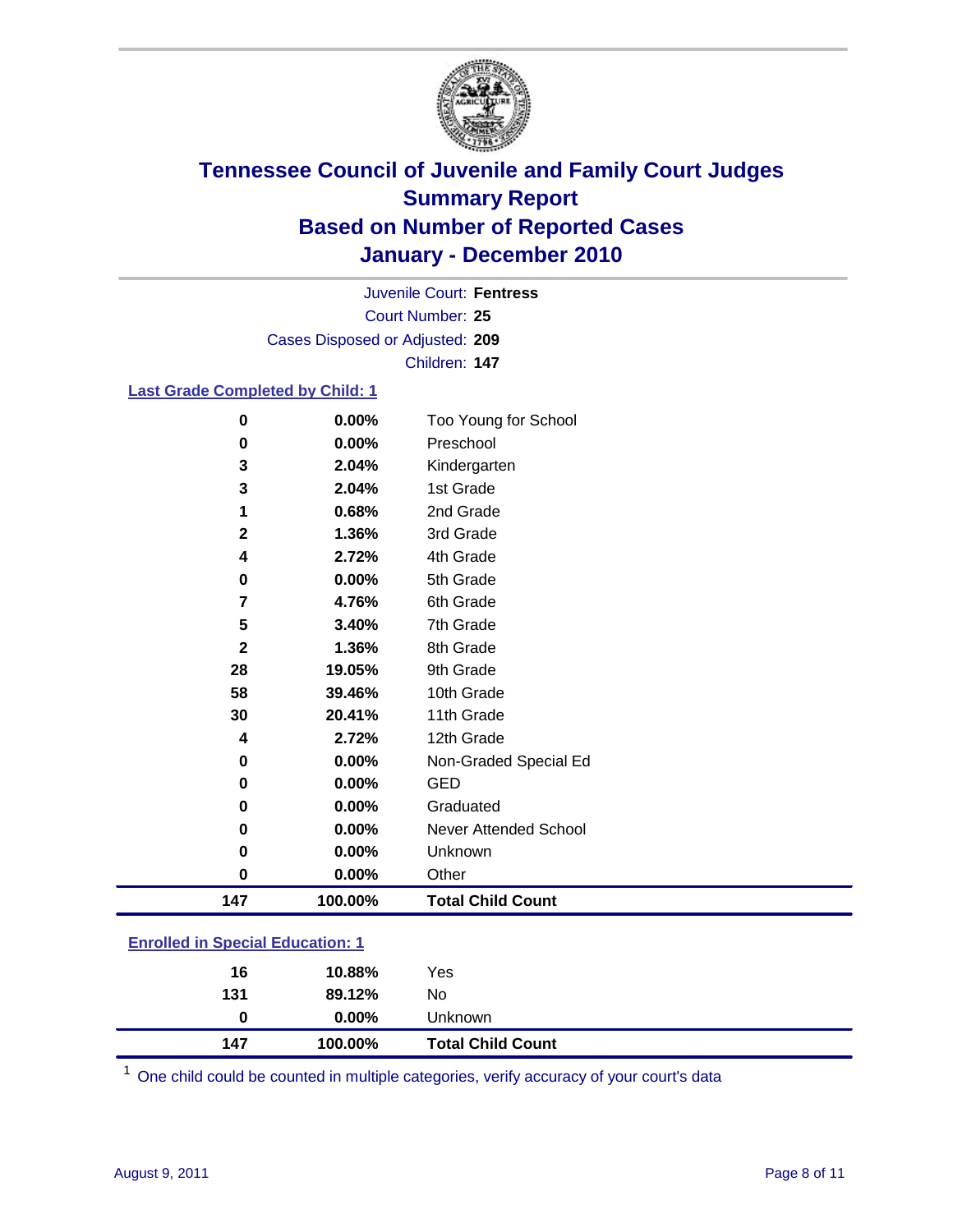

Court Number: **25** Juvenile Court: **Fentress** Cases Disposed or Adjusted: **209** Children: **147**

#### **Last Grade Completed by Child: 1**

| $\bf{0}$                                | 0.00%    | Too Young for School         |  |
|-----------------------------------------|----------|------------------------------|--|
| $\bf{0}$                                | 0.00%    | Preschool                    |  |
| 3                                       | 2.04%    | Kindergarten                 |  |
| 3                                       | 2.04%    | 1st Grade                    |  |
| 1                                       | 0.68%    | 2nd Grade                    |  |
| $\mathbf{2}$                            | 1.36%    | 3rd Grade                    |  |
| 4                                       | 2.72%    | 4th Grade                    |  |
| $\pmb{0}$                               | 0.00%    | 5th Grade                    |  |
| 7                                       | 4.76%    | 6th Grade                    |  |
| 5                                       | 3.40%    | 7th Grade                    |  |
| $\mathbf{2}$                            | 1.36%    | 8th Grade                    |  |
| 28                                      | 19.05%   | 9th Grade                    |  |
| 58                                      | 39.46%   | 10th Grade                   |  |
| 30                                      | 20.41%   | 11th Grade                   |  |
| 4                                       | 2.72%    | 12th Grade                   |  |
| 0                                       | 0.00%    | Non-Graded Special Ed        |  |
| $\bf{0}$                                | 0.00%    | <b>GED</b>                   |  |
| 0                                       | 0.00%    | Graduated                    |  |
| 0                                       | 0.00%    | <b>Never Attended School</b> |  |
| 0                                       | $0.00\%$ | Unknown                      |  |
| 0                                       | 0.00%    | Other                        |  |
| 147                                     | 100.00%  | <b>Total Child Count</b>     |  |
|                                         |          |                              |  |
| <b>Enrolled in Special Education: 1</b> |          |                              |  |

| 147 | 100.00%  | <b>Total Child Count</b> |
|-----|----------|--------------------------|
| 0   | $0.00\%$ | Unknown                  |
| 131 | 89.12%   | No                       |
| 16  | 10.88%   | Yes                      |
|     |          |                          |

One child could be counted in multiple categories, verify accuracy of your court's data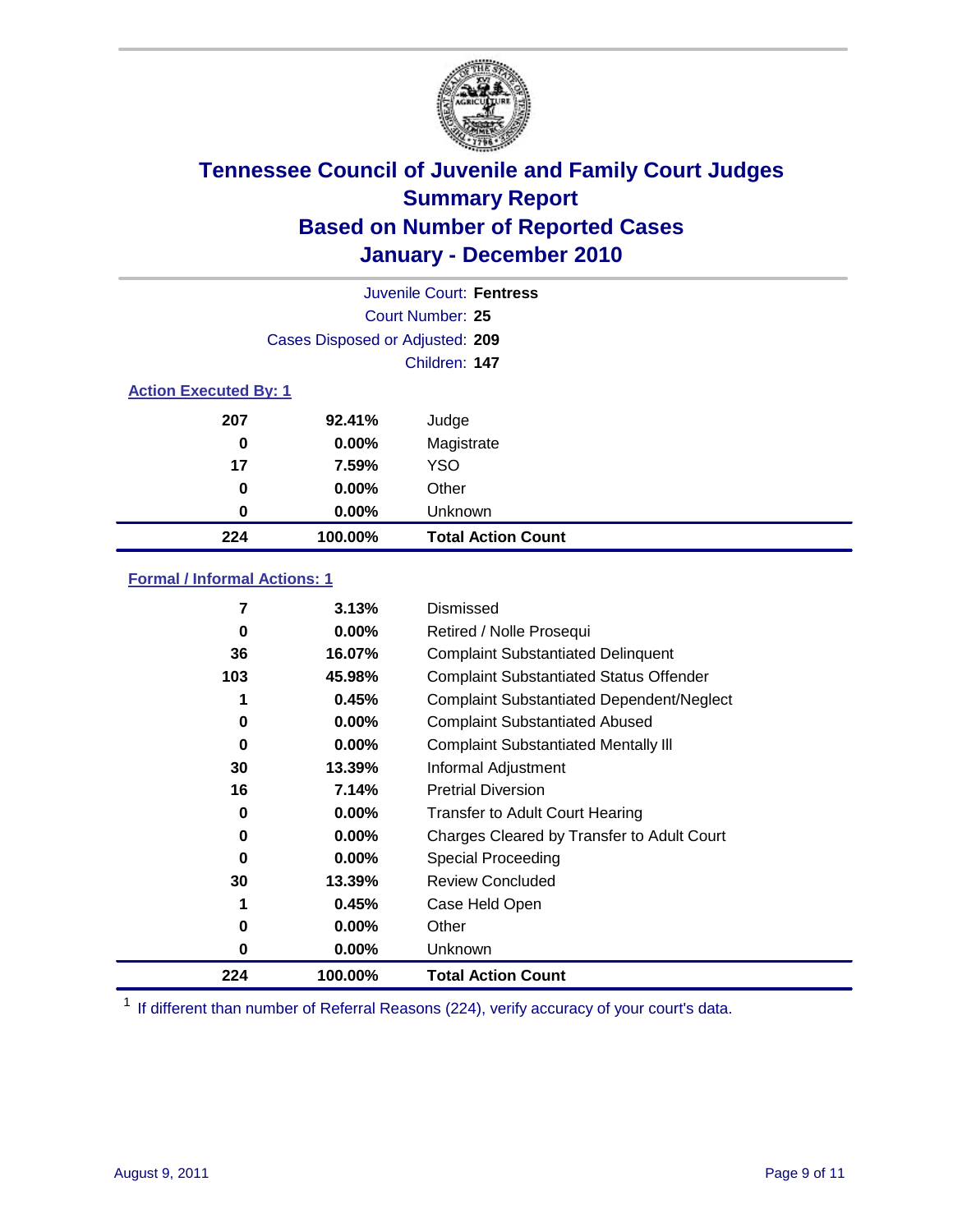

| Juvenile Court: Fentress     |                                 |                           |  |  |  |
|------------------------------|---------------------------------|---------------------------|--|--|--|
|                              | Court Number: 25                |                           |  |  |  |
|                              | Cases Disposed or Adjusted: 209 |                           |  |  |  |
|                              | Children: 147                   |                           |  |  |  |
| <b>Action Executed By: 1</b> |                                 |                           |  |  |  |
| 207                          | 92.41%                          | Judge                     |  |  |  |
| 0                            | $0.00\%$                        | Magistrate                |  |  |  |
| 17                           | 7.59%                           | <b>YSO</b>                |  |  |  |
| 0                            | $0.00\%$                        | Other                     |  |  |  |
| 0                            | 0.00%                           | Unknown                   |  |  |  |
| 224                          | 100.00%                         | <b>Total Action Count</b> |  |  |  |

### **Formal / Informal Actions: 1**

| 7        | 3.13%    | Dismissed                                        |
|----------|----------|--------------------------------------------------|
| 0        | $0.00\%$ | Retired / Nolle Prosequi                         |
| 36       | 16.07%   | <b>Complaint Substantiated Delinquent</b>        |
| 103      | 45.98%   | <b>Complaint Substantiated Status Offender</b>   |
|          | 0.45%    | <b>Complaint Substantiated Dependent/Neglect</b> |
| 0        | $0.00\%$ | <b>Complaint Substantiated Abused</b>            |
| $\bf{0}$ | $0.00\%$ | <b>Complaint Substantiated Mentally III</b>      |
| 30       | 13.39%   | Informal Adjustment                              |
| 16       | 7.14%    | <b>Pretrial Diversion</b>                        |
| 0        | $0.00\%$ | <b>Transfer to Adult Court Hearing</b>           |
| 0        | $0.00\%$ | Charges Cleared by Transfer to Adult Court       |
| 0        | $0.00\%$ | Special Proceeding                               |
| 30       | 13.39%   | <b>Review Concluded</b>                          |
|          | 0.45%    | Case Held Open                                   |
| 0        | $0.00\%$ | Other                                            |
| 0        | $0.00\%$ | Unknown                                          |
| 224      | 100.00%  | <b>Total Action Count</b>                        |

<sup>1</sup> If different than number of Referral Reasons (224), verify accuracy of your court's data.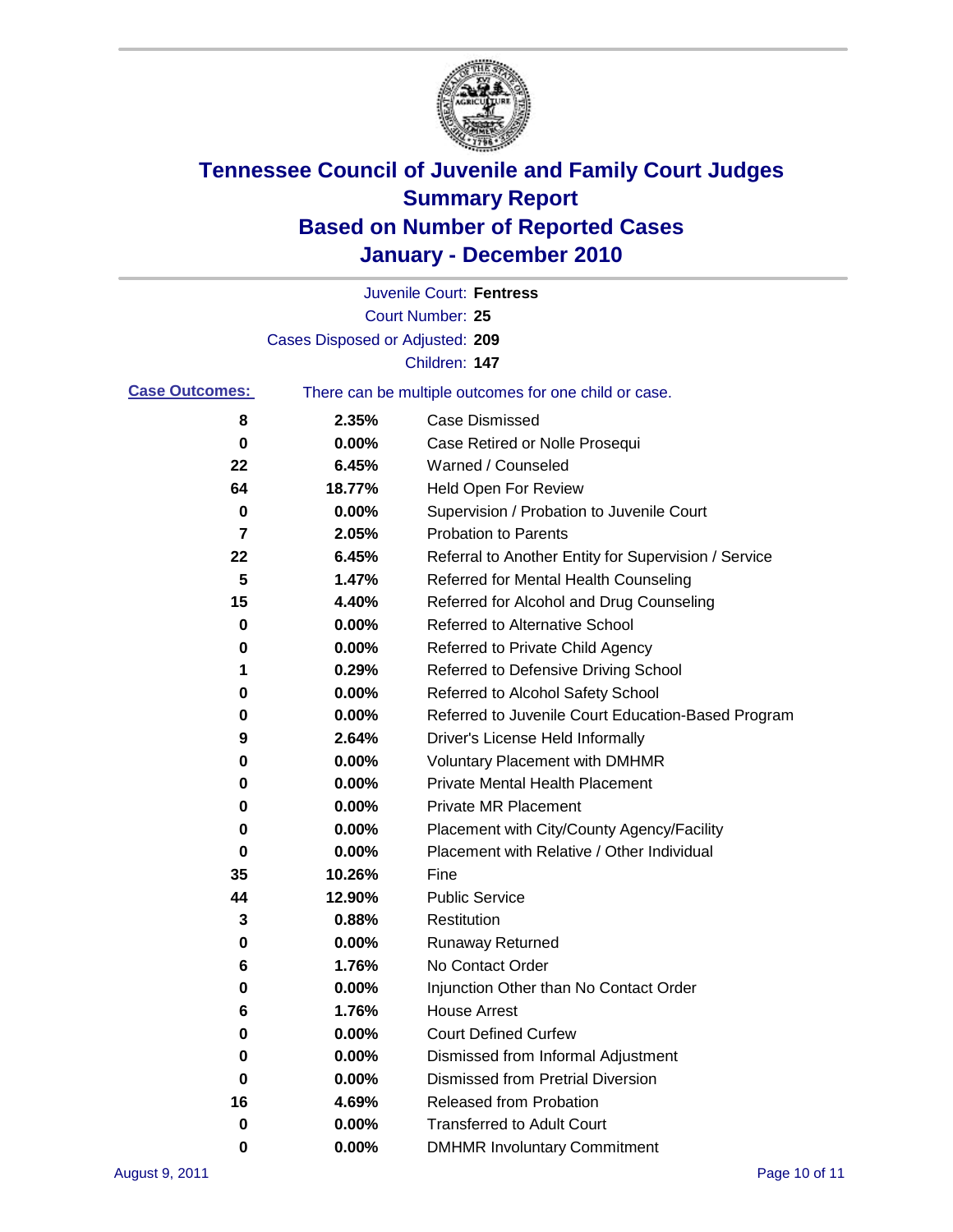

|                       |                                 | Juvenile Court: Fentress                              |
|-----------------------|---------------------------------|-------------------------------------------------------|
|                       |                                 | <b>Court Number: 25</b>                               |
|                       | Cases Disposed or Adjusted: 209 |                                                       |
|                       |                                 | Children: 147                                         |
| <b>Case Outcomes:</b> |                                 | There can be multiple outcomes for one child or case. |
| 8                     | 2.35%                           | <b>Case Dismissed</b>                                 |
| 0                     | 0.00%                           | Case Retired or Nolle Prosequi                        |
| 22                    | 6.45%                           | Warned / Counseled                                    |
| 64                    | 18.77%                          | Held Open For Review                                  |
| 0                     | 0.00%                           | Supervision / Probation to Juvenile Court             |
| 7                     | 2.05%                           | <b>Probation to Parents</b>                           |
| 22                    | 6.45%                           | Referral to Another Entity for Supervision / Service  |
| 5                     | 1.47%                           | Referred for Mental Health Counseling                 |
| 15                    | 4.40%                           | Referred for Alcohol and Drug Counseling              |
| 0                     | 0.00%                           | <b>Referred to Alternative School</b>                 |
| 0                     | 0.00%                           | Referred to Private Child Agency                      |
| 1                     | 0.29%                           | Referred to Defensive Driving School                  |
| 0                     | 0.00%                           | Referred to Alcohol Safety School                     |
| 0                     | 0.00%                           | Referred to Juvenile Court Education-Based Program    |
| 9                     | 2.64%                           | Driver's License Held Informally                      |
| 0                     | 0.00%                           | <b>Voluntary Placement with DMHMR</b>                 |
| 0                     | 0.00%                           | <b>Private Mental Health Placement</b>                |
| 0                     | 0.00%                           | <b>Private MR Placement</b>                           |
| 0                     | 0.00%                           | Placement with City/County Agency/Facility            |
| 0                     | 0.00%                           | Placement with Relative / Other Individual            |
| 35                    | 10.26%                          | Fine                                                  |
| 44                    | 12.90%                          | <b>Public Service</b>                                 |
| 3                     | 0.88%                           | Restitution                                           |
| 0                     | 0.00%                           | <b>Runaway Returned</b>                               |
| 6                     | 1.76%                           | No Contact Order                                      |
| $\pmb{0}$             | 0.00%                           | Injunction Other than No Contact Order                |
| 6                     | 1.76%                           | <b>House Arrest</b>                                   |
| 0                     | 0.00%                           | <b>Court Defined Curfew</b>                           |
| 0                     | 0.00%                           | Dismissed from Informal Adjustment                    |
| 0                     | 0.00%                           | <b>Dismissed from Pretrial Diversion</b>              |
| 16                    | 4.69%                           | Released from Probation                               |
| 0                     | 0.00%                           | <b>Transferred to Adult Court</b>                     |
| 0                     | $0.00\%$                        | <b>DMHMR Involuntary Commitment</b>                   |